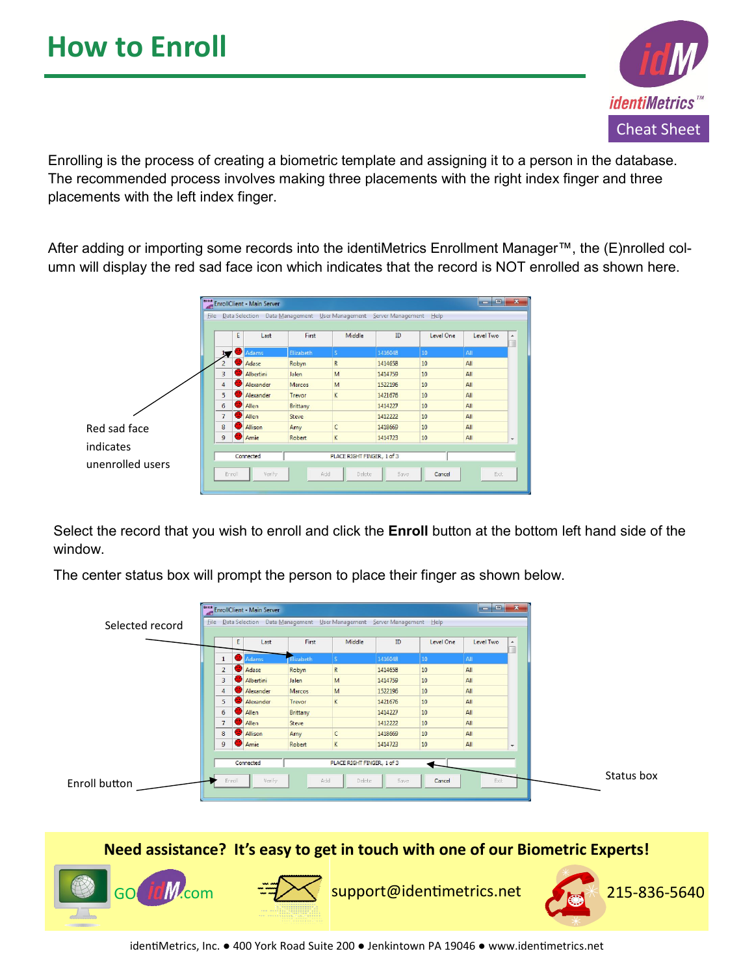

Enrolling is the process of creating a biometric template and assigning it to a person in the database. The recommended process involves making three placements with the right index finger and three placements with the left index finger.

After adding or importing some records into the identiMetrics Enrollment Manager™, the (E)nrolled column will display the red sad face icon which indicates that the record is NOT enrolled as shown here.

|                               | Enroll<br>EnrollClient - Main Server<br>œ۱                                    |                                                                                                               |     |              |               |              |         |           | $\Box$    | $\overline{\mathbf{x}}$ |
|-------------------------------|-------------------------------------------------------------------------------|---------------------------------------------------------------------------------------------------------------|-----|--------------|---------------|--------------|---------|-----------|-----------|-------------------------|
|                               | File Data Selection Data Management User Management Server Management<br>Help |                                                                                                               |     |              |               |              |         |           |           |                         |
|                               |                                                                               |                                                                                                               | E   | Last         | First         | Middle       | ID      | Level One | Level Two | ×<br>w                  |
|                               |                                                                               |                                                                                                               |     | Adams        | Elizabeth     | $\vert$ S    | 1416048 | 10        | AII       |                         |
|                               |                                                                               |                                                                                                               | a l | Adase        | Robyn         | R            | 1414658 | 10        | All       |                         |
|                               |                                                                               | 3                                                                                                             | a l | Albertini    | Jalen         | M            | 1414759 | 10        | AII       |                         |
|                               |                                                                               | 4                                                                                                             |     | Alexander    | Marcos        | M            | 1522196 | 10        | All       |                         |
|                               |                                                                               | 5                                                                                                             |     | Alexander    | Trevor        | K            | 1421676 | 10        | All       |                         |
|                               |                                                                               | 6                                                                                                             | D.  | <b>Allen</b> | Brittany      |              | 1414227 | 10        | All       |                         |
|                               |                                                                               | $\overline{7}$                                                                                                | ×.  | Allen        | <b>Steve</b>  |              | 1412222 | 10        | All       |                         |
| Red sad face                  |                                                                               | 8                                                                                                             |     | Allison      | Amy           | $\mathsf{C}$ | 1418669 | 10        | All       |                         |
|                               |                                                                               | 9                                                                                                             |     | Amie         | <b>Robert</b> | K            | 1414723 | 10        | All       | ۰                       |
| indicates<br>unenrolled users |                                                                               | Connected<br>PLACE RIGHT FINGER, 1 of 3<br>Verify<br>Add<br><b>Delete</b><br>Exit<br>Erroll<br>Save<br>Cancel |     |              |               |              |         |           |           |                         |

Select the record that you wish to enroll and click the **Enroll** button at the bottom left hand side of the window.

The center status box will prompt the person to place their finger as shown below.